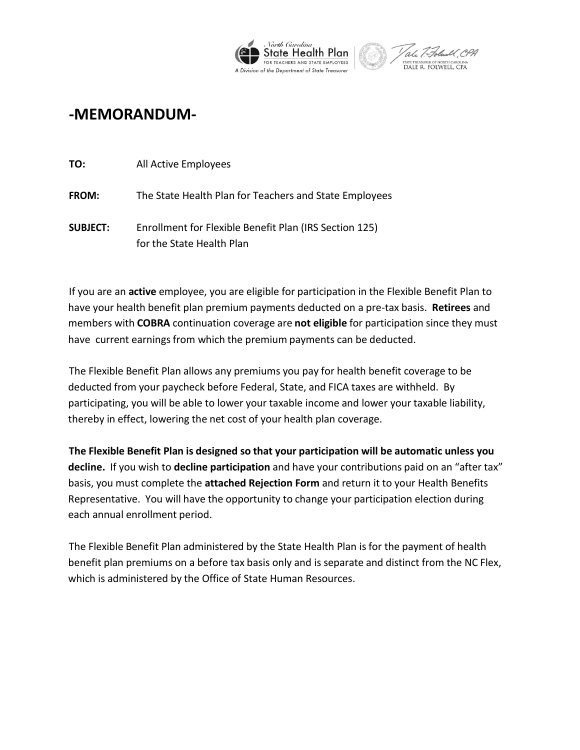



## **-MEMORANDUM-**

| TO:             | All Active Employees                                                                |
|-----------------|-------------------------------------------------------------------------------------|
| <b>FROM:</b>    | The State Health Plan for Teachers and State Employees                              |
| <b>SUBJECT:</b> | Enrollment for Flexible Benefit Plan (IRS Section 125)<br>for the State Health Plan |

If you are an **active** employee, you are eligible for participation in the Flexible Benefit Plan to have your health benefit plan premium payments deducted on a pre-tax basis. **Retirees** and members with **COBRA** continuation coverage are **not eligible** for participation since they must have current earnings from which the premium payments can be deducted.

The Flexible Benefit Plan allows any premiums you pay for health benefit coverage to be deducted from your paycheck before Federal, State, and FICA taxes are withheld. By participating, you will be able to lower your taxable income and lower your taxable liability, thereby in effect, lowering the net cost of your health plan coverage.

**The Flexible Benefit Plan is designed so that your participation will be automatic unless you decline.** If you wish to **decline participation** and have your contributions paid on an "after tax" basis, you must complete the **attached Rejection Form** and return it to your Health Benefits Representative. You will have the opportunity to change your participation election during each annual enrollment period.

The Flexible Benefit Plan administered by the State Health Plan is for the payment of health benefit plan premiums on a before tax basis only and is separate and distinct from the NC Flex, which is administered by the Office of State Human Resources.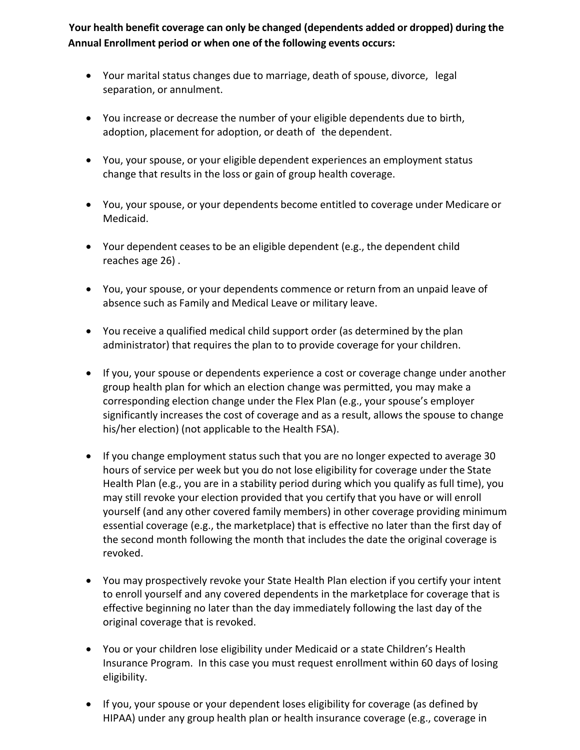**Your health benefit coverage can only be changed (dependents added or dropped) during the Annual Enrollment period or when one of the following events occurs:**

- Your marital status changes due to marriage, death of spouse, divorce, legal separation, or annulment.
- You increase or decrease the number of your eligible dependents due to birth, adoption, placement for adoption, or death of the dependent.
- You, your spouse, or your eligible dependent experiences an employment status change that results in the loss or gain of group health coverage.
- You, your spouse, or your dependents become entitled to coverage under Medicare or Medicaid.
- Your dependent ceases to be an eligible dependent (e.g., the dependent child reaches age 26) .
- You, your spouse, or your dependents commence or return from an unpaid leave of absence such as Family and Medical Leave or military leave.
- You receive a qualified medical child support order (as determined by the plan administrator) that requires the plan to to provide coverage for your children.
- If you, your spouse or dependents experience a cost or coverage change under another group health plan for which an election change was permitted, you may make a corresponding election change under the Flex Plan (e.g., your spouse's employer significantly increases the cost of coverage and as a result, allows the spouse to change his/her election) (not applicable to the Health FSA).
- If you change employment status such that you are no longer expected to average 30 hours of service per week but you do not lose eligibility for coverage under the State Health Plan (e.g., you are in a stability period during which you qualify as full time), you may still revoke your election provided that you certify that you have or will enroll yourself (and any other covered family members) in other coverage providing minimum essential coverage (e.g., the marketplace) that is effective no later than the first day of the second month following the month that includes the date the original coverage is revoked.
- You may prospectively revoke your State Health Plan election if you certify your intent to enroll yourself and any covered dependents in the marketplace for coverage that is effective beginning no later than the day immediately following the last day of the original coverage that is revoked.
- You or your children lose eligibility under Medicaid or a state Children's Health Insurance Program. In this case you must request enrollment within 60 days of losing eligibility.
- If you, your spouse or your dependent loses eligibility for coverage (as defined by HIPAA) under any group health plan or health insurance coverage (e.g., coverage in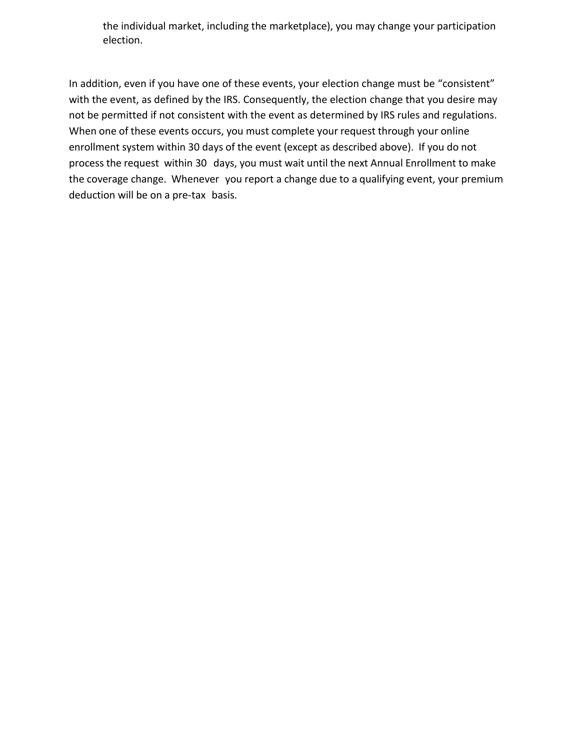the individual market, including the marketplace), you may change your participation election.

In addition, even if you have one of these events, your election change must be "consistent" with the event, as defined by the IRS. Consequently, the election change that you desire may not be permitted if not consistent with the event as determined by IRS rules and regulations. When one of these events occurs, you must complete your request through your online enrollment system within 30 days of the event (except as described above). If you do not process the request within 30 days, you must wait until the next Annual Enrollment to make the coverage change. Whenever you report a change due to a qualifying event, your premium deduction will be on a pre-tax basis.